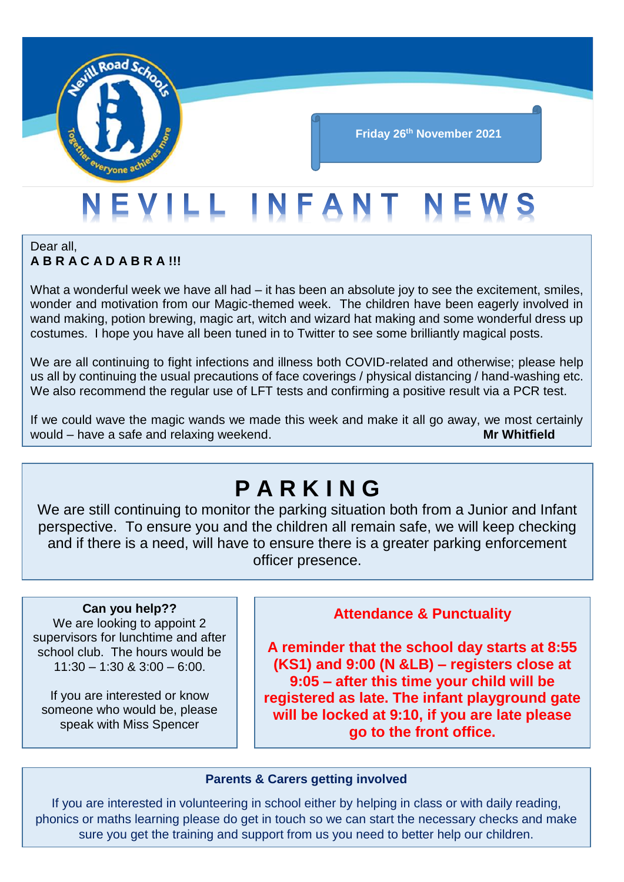

**Friday 26th November 2021**

# EVILL INFANT NEWS

#### Dear all, **A B R A C A D A B R A !!!**

What a wonderful week we have all had – it has been an absolute joy to see the excitement, smiles, wonder and motivation from our Magic-themed week. The children have been eagerly involved in wand making, potion brewing, magic art, witch and wizard hat making and some wonderful dress up costumes. I hope you have all been tuned in to Twitter to see some brilliantly magical posts.

We are all continuing to fight infections and illness both COVID-related and otherwise; please help us all by continuing the usual precautions of face coverings / physical distancing / hand-washing etc. We also recommend the regular use of LFT tests and confirming a positive result via a PCR test.

If we could wave the magic wands we made this week and make it all go away, we most certainly would – have a safe and relaxing weekend. **Mr Whitfield** would – have a safe and relaxing weekend.

### **P A R K I N G**

We are still continuing to monitor the parking situation both from a Junior and Infant perspective. To ensure you and the children all remain safe, we will keep checking and if there is a need, will have to ensure there is a greater parking enforcement officer presence.

**Can you help??** We are looking to appoint 2 supervisors for lunchtime and after school club. The hours would be  $11:30 - 1:30$  &  $3:00 - 6:00$ .

If you are interested or know someone who would be, please speak with Miss Spencer

#### **Attendance & Punctuality**

**A reminder that the school day starts at 8:55 (KS1) and 9:00 (N &LB) – registers close at 9:05 – after this time your child will be registered as late. The infant playground gate will be locked at 9:10, if you are late please go to the front office.**

#### **Parents & Carers getting involved**

If you are interested in volunteering in school either by helping in class or with daily reading, phonics or maths learning please do get in touch so we can start the necessary checks and make sure you get the training and support from us you need to better help our children.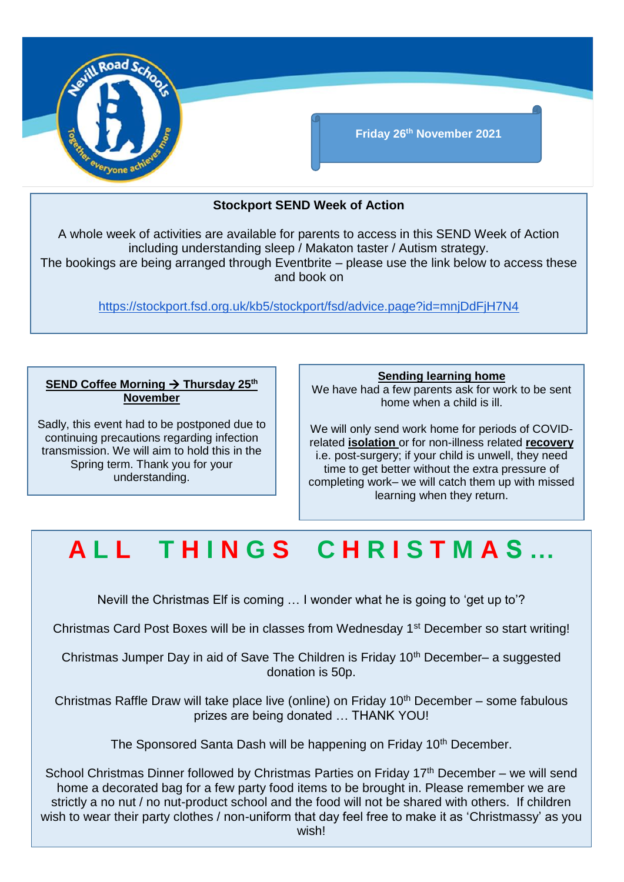

#### **Stockport SEND Week of Action**

A whole week of activities are available for parents to access in this SEND Week of Action including understanding sleep / Makaton taster / Autism strategy. The bookings are being arranged through Eventbrite – please use the link below to access these and book on

<https://stockport.fsd.org.uk/kb5/stockport/fsd/advice.page?id=mnjDdFjH7N4>

#### **SEND Coffee Morning → Thursday 25<sup>th</sup> November**

Sadly, this event had to be postponed due to continuing precautions regarding infection transmission. We will aim to hold this in the Spring term. Thank you for your understanding.

#### **Sending learning home**

We have had a few parents ask for work to be sent home when a child is ill.

We will only send work home for periods of COVIDrelated **isolation** or for non-illness related **recovery** i.e. post-surgery; if your child is unwell, they need time to get better without the extra pressure of completing work– we will catch them up with missed learning when they return.

# **A L L T H I N G S C H R I S T M A S …**

Nevill the Christmas Elf is coming … I wonder what he is going to 'get up to'?

Christmas Card Post Boxes will be in classes from Wednesday 1<sup>st</sup> December so start writing!

Christmas Jumper Day in aid of Save The Children is Friday 10<sup>th</sup> December– a suggested donation is 50p.

Christmas Raffle Draw will take place live (online) on Friday  $10<sup>th</sup>$  December – some fabulous prizes are being donated … THANK YOU!

The Sponsored Santa Dash will be happening on Friday 10<sup>th</sup> December.

School Christmas Dinner followed by Christmas Parties on Friday 17<sup>th</sup> December – we will send home a decorated bag for a few party food items to be brought in. Please remember we are strictly a no nut / no nut-product school and the food will not be shared with others. If children wish to wear their party clothes / non-uniform that day feel free to make it as 'Christmassy' as you wish!